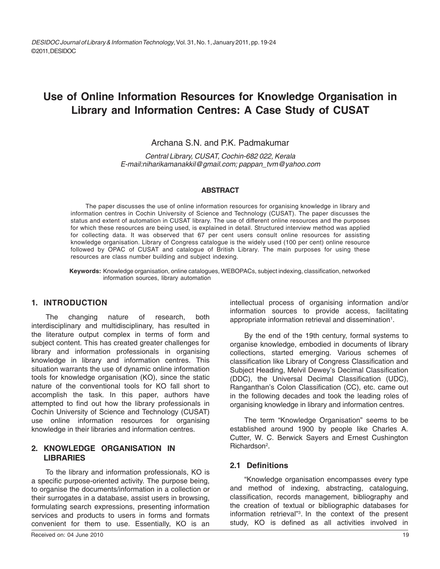# **Use of Online Information Resources for Knowledge Organisation in Library and Information Centres: A Case Study of CUSAT**

### Archana S.N. and P.K. Padmakumar

*Central Library, CUSAT, Cochin-682 022, Kerala E-mail:niharikamanakkil@gmail.com; pappan\_tvm@yahoo.com*

#### **ABSTRACT**

 The paper discusses the use of online information resources for organising knowledge in library and information centres in Cochin University of Science and Technology (CUSAT). The paper discusses the status and extent of automation in CUSAT library. The use of different online resources and the purposes for which these resources are being used, is explained in detail. Structured interview method was applied for collecting data. It was observed that 67 per cent users consult online resources for assisting knowledge organisation. Library of Congress catalogue is the widely used (100 per cent) online resource followed by OPAC of CUSAT and catalogue of British Library. The main purposes for using these resources are class number building and subject indexing.

**Keywords:** Knowledge organisation, online catalogues, WEBOPACs, subject indexing, classification, networked information sources, library automation

### **1. INTRODUCTION**

The changing nature of research, both interdisciplinary and multidisciplinary, has resulted in the literature output complex in terms of form and subject content. This has created greater challenges for library and information professionals in organising knowledge in library and information centres. This situation warrants the use of dynamic online information tools for knowledge organisation (KO), since the static nature of the conventional tools for KO fall short to accomplish the task. In this paper, authors have attempted to find out how the library professionals in Cochin University of Science and Technology (CUSAT) use online information resources for organising knowledge in their libraries and information centres.

### **2. KNOWLEDGE ORGANISATION IN LIBRARIES**

To the library and information professionals, KO is a specific purpose-oriented activity. The purpose being, to organise the documents/information in a collection or their surrogates in a database, assist users in browsing, formulating search expressions, presenting information services and products to users in forms and formats convenient for them to use. Essentially, KO is an

intellectual process of organising information and/or information sources to provide access, facilitating appropriate information retrieval and dissemination<sup>1</sup>.

By the end of the 19th century, formal systems to organise knowledge, embodied in documents of library collections, started emerging. Various schemes of classification like Library of Congress Classification and Subject Heading, Melvil Dewey's Decimal Classification (DDC), the Universal Decimal Classification (UDC), Ranganthan's Colon Classification (CC), etc. came out in the following decades and took the leading roles of organising knowledge in library and information centres.

The term "Knowledge Organisation" seems to be established around 1900 by people like Charles A. Cutter, W. C. Berwick Sayers and Ernest Cushington Richardson<sup>2</sup>.

#### **2.1 Definitions**

"Knowledge organisation encompasses every type and method of indexing, abstracting, cataloguing, classification, records management, bibliography and the creation of textual or bibliographic databases for information retrieval"3 . In the context of the present study, KO is defined as all activities involved in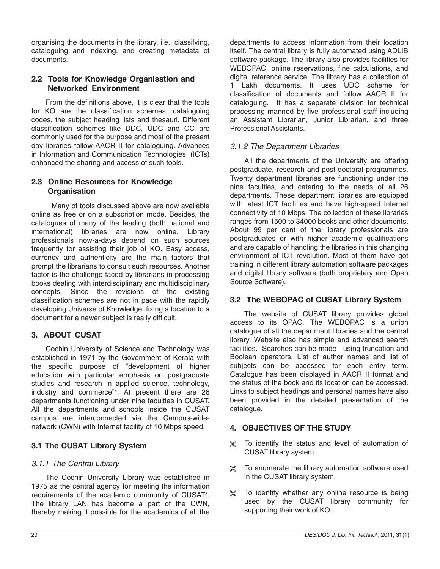organising the documents in the library, i.e., classifying, cataloguing and indexing, and creating metadata of documents.

# **2.2 Tools for Knowledge Organisation and Networked Environment**

From the definitions above, it is clear that the tools for KO are the classification schemes, cataloguing codes, the subject heading lists and thesauri. Different classification schemes like DDC, UDC and CC are commonly used for the purpose and most of the present day libraries follow AACR II for cataloguing. Advances in Information and Communication Technologies (ICTs) enhanced the sharing and access of such tools.

# **2.3 Online Resources for Knowledge Organisation**

Many of tools discussed above are now available online as free or on a subscription mode. Besides, the catalogues of many of the leading (both national and international) libraries are now online. Library professionals now-a-days depend on such sources frequently for assisting their job of KO. Easy access, currency and authenticity are the main factors that prompt the librarians to consult such resources. Another factor is the challenge faced by librarians in processing books dealing with interdisciplinary and multidisciplinary concepts. Since the revisions of the existing classification schemes are not in pace with the rapidly developing Universe of Knowledge, fixing a location to a document for a newer subject is really difficult.

# **3. ABOUT CUSAT**

Cochin University of Science and Technology was established in 1971 by the Government of Kerala with the specific purpose of "development of higher education with particular emphasis on postgraduate studies and research in applied science, technology, industry and commerce"4 . At present there are 26 departments functioning under nine faculties in CUSAT. All the departments and schools inside the CUSAT campus are interconnected via the Campus-widenetwork (CWN) with Internet facility of 10 Mbps speed.

# **3.1 The CUSAT Library System**

# *3.1.1 The Central Library*

The Cochin University Library was established in 1975 as the central agency for meeting the information requirements of the academic community of CUSAT<sup>5</sup>. The library LAN has become a part of the CWN, thereby making it possible for the academics of all the

departments to access information from their location itself. The central library is fully automated using ADLIB software package. The library also provides facilities for WEBOPAC, online reservations, fine calculations, and digital reference service. The library has a collection of 1 Lakh documents. It uses UDC scheme for classification of documents and follow AACR II for cataloguing. It has a separate division for technical processing manned by five professional staff including an Assistant Librarian, Junior Librarian, and three Professional Assistants.

# *3.1.2 The Department Libraries*

All the departments of the University are offering postgraduate, research and post-doctoral programmes. Twenty department libraries are functioning under the nine faculties, and catering to the needs of all 26 departments. These department libraries are equipped with latest ICT facilities and have high-speed Internet connectivity of 10 Mbps. The collection of these libraries ranges from 1500 to 34000 books and other documents. About 99 per cent of the library professionals are postgraduates or with higher academic qualifications and are capable of handling the libraries in this changing environment of ICT revolution. Most of them have got training in different library automation software packages and digital library software (both proprietary and Open Source Software).

# **3.2 The WEBOPAC of CUSAT Library System**

The website of CUSAT library provides global access to its OPAC. The WEBOPAC is a union catalogue of all the department libraries and the central library. Website also has simple and advanced search facilities. Searches can be made using truncation and Boolean operators. List of author names and list of subjects can be accessed for each entry term. Catalogue has been displayed in AACR II format and the status of the book and its location can be accessed. Links to subject headings and personal names have also been provided in the detailed presentation of the catalogue.

# **4. OBJECTIVES OF THE STUDY**

- $26$  To identify the status and level of automation of CUSAT library system.
- To enumerate the library automation software used in the CUSAT library system.
- $\frac{1}{26}$  To identify whether any online resource is being used by the CUSAT library community for supporting their work of KO.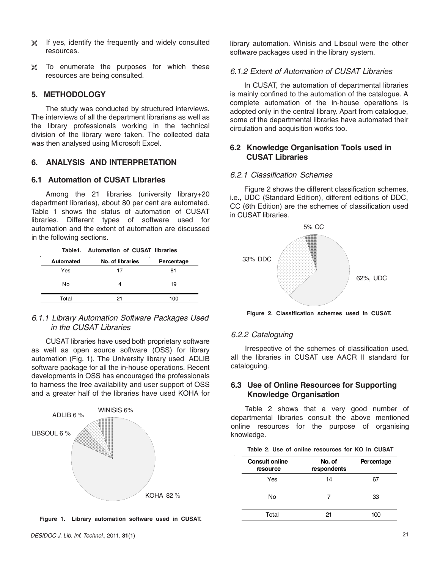- If yes, identify the frequently and widely consulted resources.
- To enumerate the purposes for which these resources are being consulted.

#### **5. METHODOLOGY**

The study was conducted by structured interviews. The interviews of all the department librarians as well as the library professionals working in the technical division of the library were taken. The collected data was then analysed using Microsoft Excel.

### **6. ANALYSIS AND INTERPRETATION**

#### **6.1 Automation of CUSAT Libraries**

Among the 21 libraries (university library+20 department libraries), about 80 per cent are automated. Table 1 shows the status of automation of CUSAT libraries. Different types of software used for automation and the extent of automation are discussed in the following sections.

|           | Table1. Automation of CUSAT libraries |            |  |  |
|-----------|---------------------------------------|------------|--|--|
| Automated | No. of libraries                      | Percentage |  |  |
| Yes       | 17                                    | 81         |  |  |
| No        |                                       | 19         |  |  |
| Total     | 21                                    | 100        |  |  |

### *6.1.1 Library Automation Software Packages Used in the CUSAT Libraries*

CUSAT libraries have used both proprietary software as well as open source software (OSS) for library automation (Fig. 1). The University library used ADLIB software package for all the in-house operations. Recent developments in OSS has encouraged the professionals to harness the free availability and user support of OSS and a greater half of the libraries have used KOHA for



**Figure 1. Library automation software used in CUSAT.**

library automation. Winisis and Libsoul were the other software packages used in the library system.

#### *6.1.2 Extent of Automation of CUSAT Libraries*

In CUSAT, the automation of departmental libraries is mainly confined to the automation of the catalogue. A complete automation of the in-house operations is adopted only in the central library. Apart from catalogue, some of the departmental libraries have automated their circulation and acquisition works too.

### **6.2 Knowledge Organisation Tools used in CUSAT Libraries**

#### *6.2.1 Classification Schemes*

Figure 2 shows the different classification schemes, i.e., UDC (Standard Edition), different editions of DDC, CC (6th Edition) are the schemes of classification used in CUSAT libraries.



**Figure 2. Classification schemes used in CUSAT.**

#### *6.2.2 Cataloguing*

Irrespective of the schemes of classification used, all the libraries in CUSAT use AACR II standard for cataloguing.

### **6.3 Use of Online Resources for Supporting Knowledge Organisation**

Table 2 shows that a very good number of departmental libraries consult the above mentioned online resources for the purpose of organising knowledge.

|  |  |  | Table 2. Use of online resources for KO in CUSAT |  |  |
|--|--|--|--------------------------------------------------|--|--|
|  |  |  |                                                  |  |  |

| <b>Consult online</b><br>resource | No. of<br>respondents | Percentage |
|-----------------------------------|-----------------------|------------|
| Yes                               | 14                    | 67         |
| No                                | 7                     | 33         |
| Total                             | 21                    | 100        |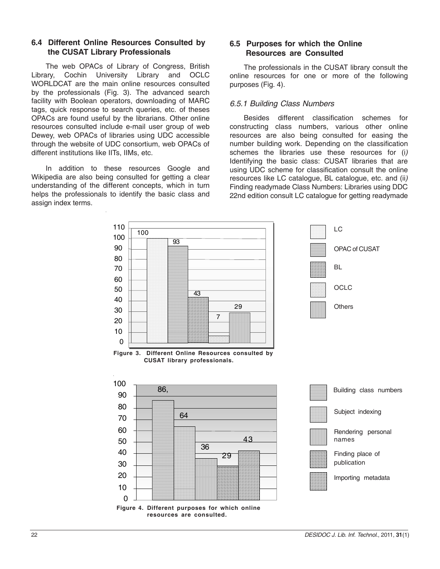### **6.4 Different Online Resources Consulted by the CUSAT Library Professionals**

The web OPACs of Library of Congress, British Library, Cochin University Library and OCLC WORLDCAT are the main online resources consulted by the professionals (Fig. 3). The advanced search facility with Boolean operators, downloading of MARC tags, quick response to search queries, etc. of theses OPACs are found useful by the librarians. Other online resources consulted include e-mail user group of web Dewey, web OPACs of libraries using UDC accessible through the website of UDC consortium, web OPACs of different institutions like IITs, IIMs, etc.

In addition to these resources Google and Wikipedia are also being consulted for getting a clear understanding of the different concepts, which in turn helps the professionals to identify the basic class and assign index terms.

# **6.5 Purposes for which the Online Resources are Consulted**

The professionals in the CUSAT library consult the online resources for one or more of the following purposes (Fig. 4).

### *6.5.1 Building Class Numbers*

Besides different classification schemes for constructing class numbers, various other online resources are also being consulted for easing the number building work. Depending on the classification schemes the libraries use these resources for (i*)* Identifying the basic class: CUSAT libraries that are using UDC scheme for classification consult the online resources like LC catalogue, BL catalogue, etc. and (ii*)* Finding readymade Class Numbers: Libraries using DDC 22nd edition consult LC catalogue for getting readymade

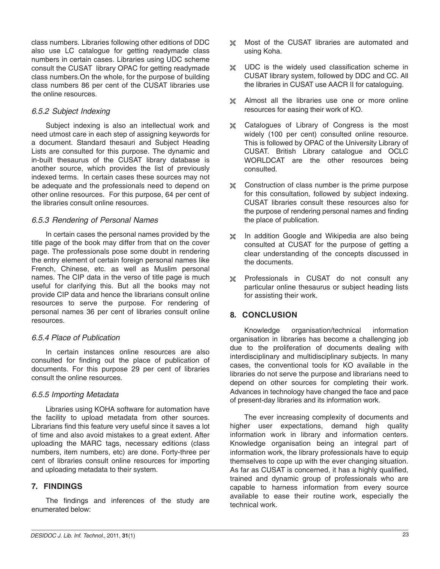class numbers. Libraries following other editions of DDC also use LC catalogue for getting readymade class numbers in certain cases. Libraries using UDC scheme consult the CUSAT library OPAC for getting readymade class numbers.On the whole, for the purpose of building class numbers 86 per cent of the CUSAT libraries use the online resources.

# *6.5.2 Subject Indexing*

Subject indexing is also an intellectual work and need utmost care in each step of assigning keywords for a document. Standard thesauri and Subject Heading Lists are consulted for this purpose. The dynamic and in-built thesaurus of the CUSAT library database is another source, which provides the list of previously indexed terms. In certain cases these sources may not be adequate and the professionals need to depend on other online resources. For this purpose, 64 per cent of the libraries consult online resources.

### *6.5.3 Rendering of Personal Names*

In certain cases the personal names provided by the title page of the book may differ from that on the cover page. The professionals pose some doubt in rendering the entry element of certain foreign personal names like French, Chinese, etc. as well as Muslim personal names. The CIP data in the verso of title page is much useful for clarifying this. But all the books may not provide CIP data and hence the librarians consult online resources to serve the purpose. For rendering of personal names 36 per cent of libraries consult online resources.

### *6.5.4 Place of Publication*

In certain instances online resources are also consulted for finding out the place of publication of documents. For this purpose 29 per cent of libraries consult the online resources.

### *6.5.5 Importing Metadata*

Libraries using KOHA software for automation have the facility to upload metadata from other sources. Librarians find this feature very useful since it saves a lot of time and also avoid mistakes to a great extent. After uploading the MARC tags, necessary editions (class numbers, item numbers, etc) are done. Forty-three per cent of libraries consult online resources for importing and uploading metadata to their system.

# **7. FINDINGS**

The findings and inferences of the study are enumerated below:

- $\frac{1}{26}$  Most of the CUSAT libraries are automated and using Koha.
- $\frac{1}{26}$  UDC is the widely used classification scheme in CUSAT library system, followed by DDC and CC. All the libraries in CUSAT use AACR II for cataloguing.
- Almost all the libraries use one or more online resources for easing their work of KO.
- $26$  Catalogues of Library of Congress is the most widely (100 per cent) consulted online resource. This is followed by OPAC of the University Library of CUSAT. British Library catalogue and OCLC WORLDCAT are the other resources being consulted.
- Construction of class number is the prime purpose for this consultation, followed by subject indexing. CUSAT libraries consult these resources also for the purpose of rendering personal names and finding the place of publication.
- $26$  In addition Google and Wikipedia are also being consulted at CUSAT for the purpose of getting a clear understanding of the concepts discussed in the documents.
- Professionals in CUSAT do not consult any particular online thesaurus or subject heading lists for assisting their work.

# **8. CONCLUSION**

Knowledge organisation/technical information organisation in libraries has become a challenging job due to the proliferation of documents dealing with interdisciplinary and multidisciplinary subjects. In many cases, the conventional tools for KO available in the libraries do not serve the purpose and librarians need to depend on other sources for completing their work. Advances in technology have changed the face and pace of present-day libraries and its information work.

The ever increasing complexity of documents and higher user expectations, demand high quality information work in library and information centers. Knowledge organisation being an integral part of information work, the library professionals have to equip themselves to cope up with the ever changing situation. As far as CUSAT is concerned, it has a highly qualified, trained and dynamic group of professionals who are capable to harness information from every source available to ease their routine work, especially the technical work.